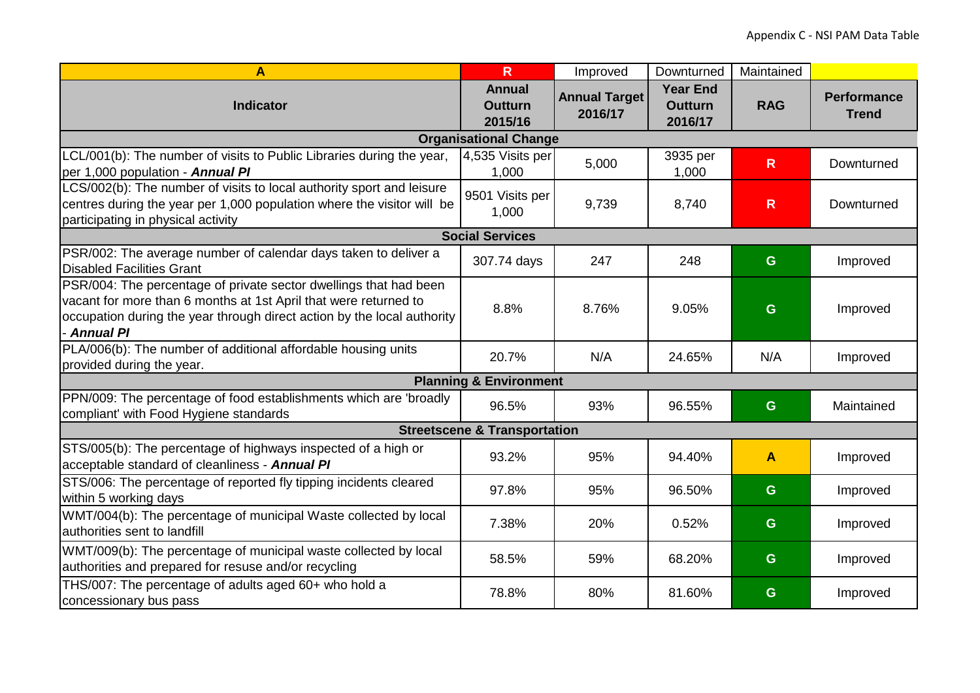| A                                                                                                                                                                                                                                    | $\overline{\mathsf{R}}$                    | Improved                        | Downturned                                   | Maintained   |                                    |  |  |  |  |
|--------------------------------------------------------------------------------------------------------------------------------------------------------------------------------------------------------------------------------------|--------------------------------------------|---------------------------------|----------------------------------------------|--------------|------------------------------------|--|--|--|--|
| <b>Indicator</b>                                                                                                                                                                                                                     | <b>Annual</b><br><b>Outturn</b><br>2015/16 | <b>Annual Target</b><br>2016/17 | <b>Year End</b><br><b>Outturn</b><br>2016/17 | <b>RAG</b>   | <b>Performance</b><br><b>Trend</b> |  |  |  |  |
|                                                                                                                                                                                                                                      | <b>Organisational Change</b>               |                                 |                                              |              |                                    |  |  |  |  |
| LCL/001(b): The number of visits to Public Libraries during the year,<br>per 1,000 population - Annual PI                                                                                                                            | 4,535 Visits per<br>1,000                  | 5,000                           | 3935 per<br>1,000                            | $\mathsf{R}$ | Downturned                         |  |  |  |  |
| LCS/002(b): The number of visits to local authority sport and leisure<br>centres during the year per 1,000 population where the visitor will be<br>participating in physical activity                                                | 9501 Visits per<br>1,000                   | 9,739                           | 8,740                                        | $\mathsf{R}$ | Downturned                         |  |  |  |  |
|                                                                                                                                                                                                                                      | <b>Social Services</b>                     |                                 |                                              |              |                                    |  |  |  |  |
| PSR/002: The average number of calendar days taken to deliver a<br><b>Disabled Facilities Grant</b>                                                                                                                                  | 307.74 days                                | 247                             | 248                                          | G            | Improved                           |  |  |  |  |
| PSR/004: The percentage of private sector dwellings that had been<br>vacant for more than 6 months at 1st April that were returned to<br>occupation during the year through direct action by the local authority<br><b>Annual PI</b> | 8.8%                                       | 8.76%                           | 9.05%                                        | G            | Improved                           |  |  |  |  |
| PLA/006(b): The number of additional affordable housing units<br>provided during the year.                                                                                                                                           | 20.7%                                      | N/A                             | 24.65%                                       | N/A          | Improved                           |  |  |  |  |
| <b>Planning &amp; Environment</b>                                                                                                                                                                                                    |                                            |                                 |                                              |              |                                    |  |  |  |  |
| PPN/009: The percentage of food establishments which are 'broadly<br>compliant' with Food Hygiene standards                                                                                                                          | 96.5%                                      | 93%                             | 96.55%                                       | G            | Maintained                         |  |  |  |  |
| <b>Streetscene &amp; Transportation</b>                                                                                                                                                                                              |                                            |                                 |                                              |              |                                    |  |  |  |  |
| STS/005(b): The percentage of highways inspected of a high or<br>acceptable standard of cleanliness - Annual PI                                                                                                                      | 93.2%                                      | 95%                             | 94.40%                                       | $\mathbf{A}$ | Improved                           |  |  |  |  |
| STS/006: The percentage of reported fly tipping incidents cleared<br>within 5 working days                                                                                                                                           | 97.8%                                      | 95%                             | 96.50%                                       | G            | Improved                           |  |  |  |  |
| WMT/004(b): The percentage of municipal Waste collected by local<br>authorities sent to landfill                                                                                                                                     | 7.38%                                      | 20%                             | 0.52%                                        | G            | Improved                           |  |  |  |  |
| WMT/009(b): The percentage of municipal waste collected by local<br>authorities and prepared for resuse and/or recycling                                                                                                             | 58.5%                                      | 59%                             | 68.20%                                       | G            | Improved                           |  |  |  |  |
| THS/007: The percentage of adults aged 60+ who hold a<br>concessionary bus pass                                                                                                                                                      | 78.8%                                      | 80%                             | 81.60%                                       | G            | Improved                           |  |  |  |  |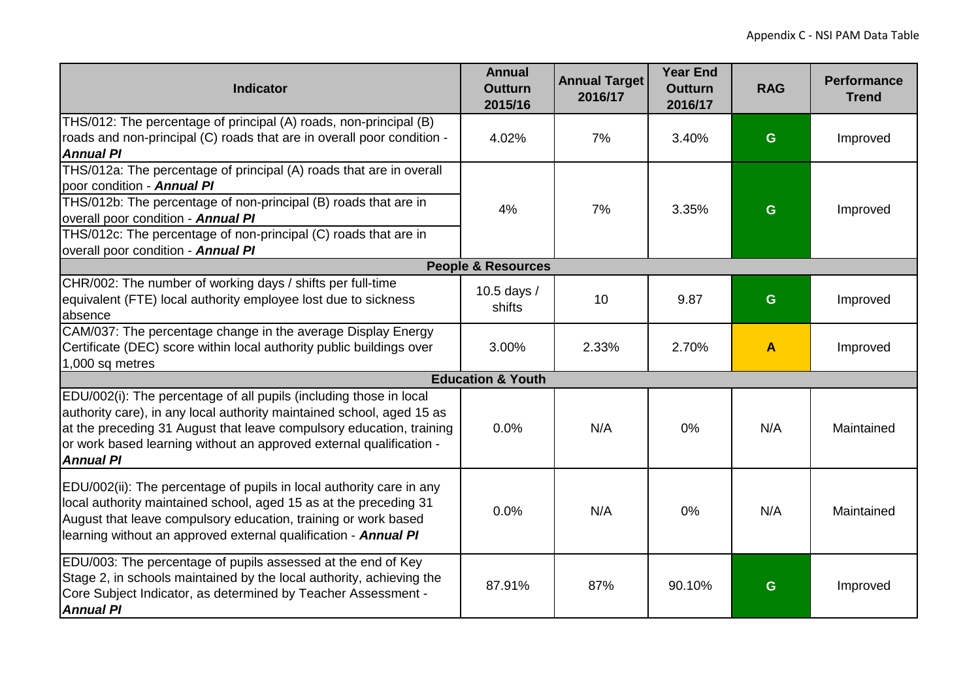| <b>Indicator</b>                                                                                                                                                                                                                                                                                                    | <b>Annual</b><br><b>Outturn</b><br>2015/16 | <b>Annual Target</b><br>2016/17 | <b>Year End</b><br><b>Outturn</b><br>2016/17 | <b>RAG</b> | <b>Performance</b><br><b>Trend</b> |  |  |
|---------------------------------------------------------------------------------------------------------------------------------------------------------------------------------------------------------------------------------------------------------------------------------------------------------------------|--------------------------------------------|---------------------------------|----------------------------------------------|------------|------------------------------------|--|--|
| THS/012: The percentage of principal (A) roads, non-principal (B)<br>roads and non-principal (C) roads that are in overall poor condition -<br><b>Annual PI</b>                                                                                                                                                     | 4.02%                                      | 7%                              | 3.40%                                        | G          | Improved                           |  |  |
| THS/012a: The percentage of principal (A) roads that are in overall<br>poor condition - Annual PI<br>THS/012b: The percentage of non-principal (B) roads that are in<br>overall poor condition - Annual PI<br>THS/012c: The percentage of non-principal (C) roads that are in<br>overall poor condition - Annual PI | 4%                                         | 7%                              | 3.35%                                        | G          | Improved                           |  |  |
| <b>People &amp; Resources</b>                                                                                                                                                                                                                                                                                       |                                            |                                 |                                              |            |                                    |  |  |
| CHR/002: The number of working days / shifts per full-time<br>equivalent (FTE) local authority employee lost due to sickness<br>absence                                                                                                                                                                             | 10.5 days /<br>shifts                      | 10 <sup>1</sup>                 | 9.87                                         | G.         | Improved                           |  |  |
| CAM/037: The percentage change in the average Display Energy<br>Certificate (DEC) score within local authority public buildings over<br>1,000 sq metres                                                                                                                                                             | 3.00%                                      | 2.33%                           | 2.70%                                        | A          | Improved                           |  |  |
| <b>Education &amp; Youth</b>                                                                                                                                                                                                                                                                                        |                                            |                                 |                                              |            |                                    |  |  |
| EDU/002(i): The percentage of all pupils (including those in local<br>authority care), in any local authority maintained school, aged 15 as<br>at the preceding 31 August that leave compulsory education, training<br>or work based learning without an approved external qualification -<br><b>Annual PI</b>      | 0.0%                                       | N/A                             | 0%                                           | N/A        | Maintained                         |  |  |
| EDU/002(ii): The percentage of pupils in local authority care in any<br>local authority maintained school, aged 15 as at the preceding 31<br>August that leave compulsory education, training or work based<br>learning without an approved external qualification - Annual PI                                      | 0.0%                                       | N/A                             | 0%                                           | N/A        | Maintained                         |  |  |
| EDU/003: The percentage of pupils assessed at the end of Key<br>Stage 2, in schools maintained by the local authority, achieving the<br>Core Subject Indicator, as determined by Teacher Assessment -<br><b>Annual PI</b>                                                                                           | 87.91%                                     | 87%                             | 90.10%                                       | G          | Improved                           |  |  |